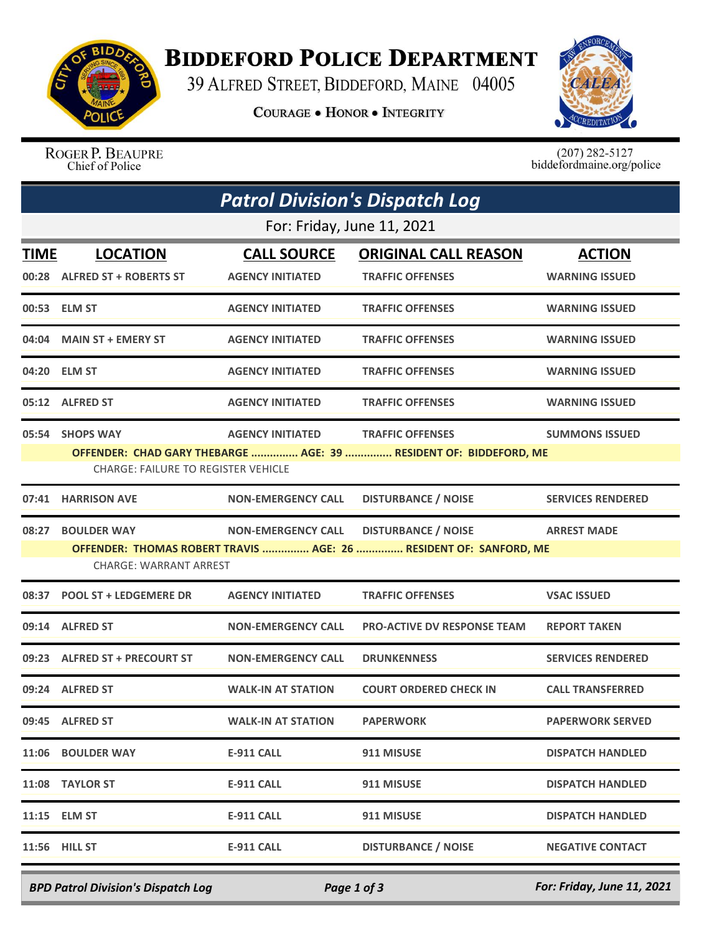

## **BIDDEFORD POLICE DEPARTMENT**

39 ALFRED STREET, BIDDEFORD, MAINE 04005

**COURAGE . HONOR . INTEGRITY** 



**ROGER P. BEAUPRE** Chief of Police

 $(207)$  282-5127<br>biddefordmaine.org/police

| <b>Patrol Division's Dispatch Log</b> |                                                                                                                                                                                                                   |                                               |                                                                                                 |                                        |  |  |  |  |
|---------------------------------------|-------------------------------------------------------------------------------------------------------------------------------------------------------------------------------------------------------------------|-----------------------------------------------|-------------------------------------------------------------------------------------------------|----------------------------------------|--|--|--|--|
| For: Friday, June 11, 2021            |                                                                                                                                                                                                                   |                                               |                                                                                                 |                                        |  |  |  |  |
| <b>TIME</b>                           | <b>LOCATION</b><br>00:28 ALFRED ST + ROBERTS ST                                                                                                                                                                   | <b>CALL SOURCE</b><br><b>AGENCY INITIATED</b> | <b>ORIGINAL CALL REASON</b><br><b>TRAFFIC OFFENSES</b>                                          | <b>ACTION</b><br><b>WARNING ISSUED</b> |  |  |  |  |
|                                       | 00:53 ELM ST                                                                                                                                                                                                      | <b>AGENCY INITIATED</b>                       | <b>TRAFFIC OFFENSES</b>                                                                         | <b>WARNING ISSUED</b>                  |  |  |  |  |
|                                       | 04:04 MAIN ST + EMERY ST                                                                                                                                                                                          | <b>AGENCY INITIATED</b>                       | <b>TRAFFIC OFFENSES</b>                                                                         | <b>WARNING ISSUED</b>                  |  |  |  |  |
|                                       | 04:20 ELM ST                                                                                                                                                                                                      | <b>AGENCY INITIATED</b>                       | <b>TRAFFIC OFFENSES</b>                                                                         | <b>WARNING ISSUED</b>                  |  |  |  |  |
|                                       | 05:12 ALFRED ST                                                                                                                                                                                                   | <b>AGENCY INITIATED</b>                       | <b>TRAFFIC OFFENSES</b>                                                                         | <b>WARNING ISSUED</b>                  |  |  |  |  |
|                                       | 05:54 SHOPS WAY<br><b>AGENCY INITIATED</b><br><b>TRAFFIC OFFENSES</b><br><b>SUMMONS ISSUED</b><br>OFFENDER: CHAD GARY THEBARGE  AGE: 39  RESIDENT OF: BIDDEFORD, ME<br><b>CHARGE: FAILURE TO REGISTER VEHICLE</b> |                                               |                                                                                                 |                                        |  |  |  |  |
| 07:41                                 | <b>HARRISON AVE</b>                                                                                                                                                                                               | <b>NON-EMERGENCY CALL</b>                     | <b>DISTURBANCE / NOISE</b>                                                                      | <b>SERVICES RENDERED</b>               |  |  |  |  |
| 08:27                                 | <b>BOULDER WAY</b><br><b>CHARGE: WARRANT ARREST</b>                                                                                                                                                               | <b>NON-EMERGENCY CALL</b>                     | <b>DISTURBANCE / NOISE</b><br>OFFENDER: THOMAS ROBERT TRAVIS  AGE: 26  RESIDENT OF: SANFORD, ME | <b>ARREST MADE</b>                     |  |  |  |  |
| 08:37                                 | <b>POOL ST + LEDGEMERE DR</b>                                                                                                                                                                                     | <b>AGENCY INITIATED</b>                       | <b>TRAFFIC OFFENSES</b>                                                                         | <b>VSAC ISSUED</b>                     |  |  |  |  |
|                                       | 09:14 ALFRED ST                                                                                                                                                                                                   | <b>NON-EMERGENCY CALL</b>                     | <b>PRO-ACTIVE DV RESPONSE TEAM</b>                                                              | <b>REPORT TAKEN</b>                    |  |  |  |  |
|                                       | 09:23 ALFRED ST + PRECOURT ST                                                                                                                                                                                     | <b>NON-EMERGENCY CALL</b>                     | <b>DRUNKENNESS</b>                                                                              | <b>SERVICES RENDERED</b>               |  |  |  |  |
|                                       | 09:24 ALFRED ST                                                                                                                                                                                                   | <b>WALK-IN AT STATION</b>                     | <b>COURT ORDERED CHECK IN</b>                                                                   | <b>CALL TRANSFERRED</b>                |  |  |  |  |
|                                       | 09:45 ALFRED ST                                                                                                                                                                                                   | <b>WALK-IN AT STATION</b>                     | <b>PAPERWORK</b>                                                                                | <b>PAPERWORK SERVED</b>                |  |  |  |  |
|                                       | 11:06 BOULDER WAY                                                                                                                                                                                                 | <b>E-911 CALL</b>                             | 911 MISUSE                                                                                      | <b>DISPATCH HANDLED</b>                |  |  |  |  |
|                                       | 11:08 TAYLOR ST                                                                                                                                                                                                   | <b>E-911 CALL</b>                             | 911 MISUSE                                                                                      | <b>DISPATCH HANDLED</b>                |  |  |  |  |
|                                       | 11:15 ELM ST                                                                                                                                                                                                      | <b>E-911 CALL</b>                             | 911 MISUSE                                                                                      | <b>DISPATCH HANDLED</b>                |  |  |  |  |
|                                       | 11:56 HILL ST                                                                                                                                                                                                     | <b>E-911 CALL</b>                             | <b>DISTURBANCE / NOISE</b>                                                                      | <b>NEGATIVE CONTACT</b>                |  |  |  |  |

*BPD Patrol Division's Dispatch Log Page 1 of 3 For: Friday, June 11, 2021*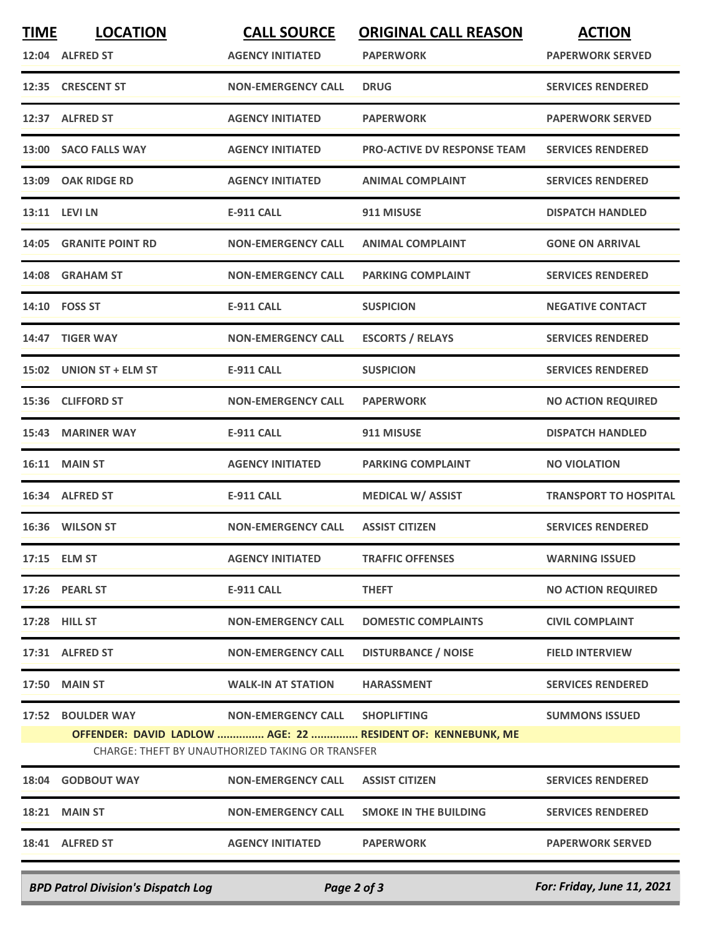| <b>TIME</b> | <b>LOCATION</b>                           | <b>CALL SOURCE</b>                                                            | <b>ORIGINAL CALL REASON</b>                                                       | <b>ACTION</b>                |
|-------------|-------------------------------------------|-------------------------------------------------------------------------------|-----------------------------------------------------------------------------------|------------------------------|
| 12:04       | <b>ALFRED ST</b>                          | <b>AGENCY INITIATED</b>                                                       | <b>PAPERWORK</b>                                                                  | <b>PAPERWORK SERVED</b>      |
|             | 12:35 CRESCENT ST                         | <b>NON-EMERGENCY CALL</b>                                                     | <b>DRUG</b>                                                                       | <b>SERVICES RENDERED</b>     |
|             | 12:37 ALFRED ST                           | <b>AGENCY INITIATED</b>                                                       | <b>PAPERWORK</b>                                                                  | <b>PAPERWORK SERVED</b>      |
| 13:00       | <b>SACO FALLS WAY</b>                     | <b>AGENCY INITIATED</b>                                                       | <b>PRO-ACTIVE DV RESPONSE TEAM</b>                                                | <b>SERVICES RENDERED</b>     |
| 13:09       | <b>OAK RIDGE RD</b>                       | <b>AGENCY INITIATED</b>                                                       | <b>ANIMAL COMPLAINT</b>                                                           | <b>SERVICES RENDERED</b>     |
|             | 13:11 LEVI LN                             | <b>E-911 CALL</b>                                                             | 911 MISUSE                                                                        | <b>DISPATCH HANDLED</b>      |
| 14:05       | <b>GRANITE POINT RD</b>                   | <b>NON-EMERGENCY CALL</b>                                                     | <b>ANIMAL COMPLAINT</b>                                                           | <b>GONE ON ARRIVAL</b>       |
| 14:08       | <b>GRAHAM ST</b>                          | <b>NON-EMERGENCY CALL</b>                                                     | <b>PARKING COMPLAINT</b>                                                          | <b>SERVICES RENDERED</b>     |
|             | 14:10 FOSS ST                             | <b>E-911 CALL</b>                                                             | <b>SUSPICION</b>                                                                  | <b>NEGATIVE CONTACT</b>      |
|             | 14:47 TIGER WAY                           | <b>NON-EMERGENCY CALL</b>                                                     | <b>ESCORTS / RELAYS</b>                                                           | <b>SERVICES RENDERED</b>     |
|             | 15:02 UNION ST + ELM ST                   | E-911 CALL                                                                    | <b>SUSPICION</b>                                                                  | <b>SERVICES RENDERED</b>     |
|             | 15:36 CLIFFORD ST                         | <b>NON-EMERGENCY CALL</b>                                                     | <b>PAPERWORK</b>                                                                  | <b>NO ACTION REQUIRED</b>    |
|             | 15:43 MARINER WAY                         | <b>E-911 CALL</b>                                                             | 911 MISUSE                                                                        | <b>DISPATCH HANDLED</b>      |
|             | <b>16:11 MAIN ST</b>                      | <b>AGENCY INITIATED</b>                                                       | <b>PARKING COMPLAINT</b>                                                          | <b>NO VIOLATION</b>          |
|             | 16:34 ALFRED ST                           | <b>E-911 CALL</b>                                                             | <b>MEDICAL W/ ASSIST</b>                                                          | <b>TRANSPORT TO HOSPITAL</b> |
|             | 16:36 WILSON ST                           | <b>NON-EMERGENCY CALL</b>                                                     | <b>ASSIST CITIZEN</b>                                                             | <b>SERVICES RENDERED</b>     |
|             | 17:15 ELM ST                              | <b>AGENCY INITIATED</b>                                                       | <b>TRAFFIC OFFENSES</b>                                                           | <b>WARNING ISSUED</b>        |
|             | 17:26 PEARL ST                            | <b>E-911 CALL</b>                                                             | <b>THEFT</b>                                                                      | <b>NO ACTION REQUIRED</b>    |
|             | 17:28 HILL ST                             | <b>NON-EMERGENCY CALL</b>                                                     | <b>DOMESTIC COMPLAINTS</b>                                                        | <b>CIVIL COMPLAINT</b>       |
|             | 17:31 ALFRED ST                           | <b>NON-EMERGENCY CALL</b>                                                     | <b>DISTURBANCE / NOISE</b>                                                        | <b>FIELD INTERVIEW</b>       |
|             | <b>17:50 MAIN ST</b>                      | <b>WALK-IN AT STATION</b>                                                     | <b>HARASSMENT</b>                                                                 | <b>SERVICES RENDERED</b>     |
|             | 17:52 BOULDER WAY                         | <b>NON-EMERGENCY CALL</b><br>CHARGE: THEFT BY UNAUTHORIZED TAKING OR TRANSFER | <b>SHOPLIFTING</b><br>OFFENDER: DAVID LADLOW  AGE: 22  RESIDENT OF: KENNEBUNK, ME | <b>SUMMONS ISSUED</b>        |
|             | 18:04 GODBOUT WAY                         | <b>NON-EMERGENCY CALL</b>                                                     | <b>ASSIST CITIZEN</b>                                                             | <b>SERVICES RENDERED</b>     |
|             | <b>18:21 MAIN ST</b>                      | <b>NON-EMERGENCY CALL</b>                                                     | <b>SMOKE IN THE BUILDING</b>                                                      | <b>SERVICES RENDERED</b>     |
|             | 18:41 ALFRED ST                           | <b>AGENCY INITIATED</b>                                                       | <b>PAPERWORK</b>                                                                  | <b>PAPERWORK SERVED</b>      |
|             | <b>BPD Patrol Division's Dispatch Log</b> | Page 2 of 3                                                                   |                                                                                   | For: Friday, June 11, 2021   |